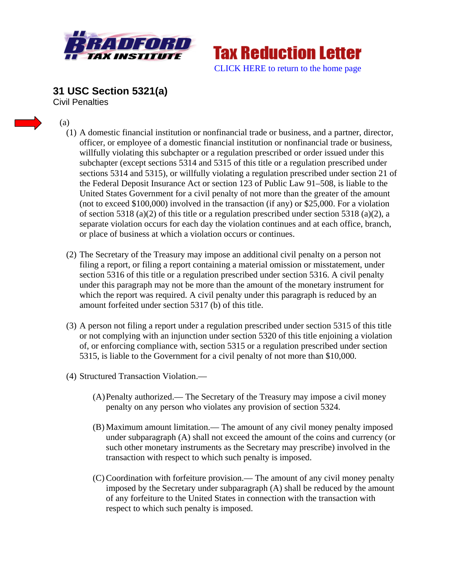



**31 USC Section 5321(a)**  Civil Penalties

- (a)
	- (1) A domestic financial institution or nonfinancial trade or business, and a partner, director, officer, or employee of a domestic financial institution or nonfinancial trade or business, willfully violating this subchapter or a regulation prescribed or order issued under this subchapter (except sections 5314 and 5315 of this title or a regulation prescribed under sections 5314 and 5315), or willfully violating a regulation prescribed under section 21 of the Federal Deposit Insurance Act or section 123 of Public Law 91–508, is liable to the United States Government for a civil penalty of not more than the greater of the amount (not to exceed \$100,000) involved in the transaction (if any) or \$25,000. For a violation of section 5318 (a)(2) of this title or a regulation prescribed under section 5318 (a)(2), a separate violation occurs for each day the violation continues and at each office, branch, or place of business at which a violation occurs or continues.
	- (2) The Secretary of the Treasury may impose an additional civil penalty on a person not filing a report, or filing a report containing a material omission or misstatement, under section 5316 of this title or a regulation prescribed under section 5316. A civil penalty under this paragraph may not be more than the amount of the monetary instrument for which the report was required. A civil penalty under this paragraph is reduced by an amount forfeited under section 5317 (b) of this title.
	- (3) A person not filing a report under a regulation prescribed under section 5315 of this title or not complying with an injunction under section 5320 of this title enjoining a violation of, or enforcing compliance with, section 5315 or a regulation prescribed under section 5315, is liable to the Government for a civil penalty of not more than \$10,000.
	- (4) Structured Transaction Violation.—
		- (A)Penalty authorized.— The Secretary of the Treasury may impose a civil money penalty on any person who violates any provision of section 5324.
		- (B) Maximum amount limitation.— The amount of any civil money penalty imposed under subparagraph (A) shall not exceed the amount of the coins and currency (or such other monetary instruments as the Secretary may prescribe) involved in the transaction with respect to which such penalty is imposed.
		- (C) Coordination with forfeiture provision.— The amount of any civil money penalty imposed by the Secretary under subparagraph (A) shall be reduced by the amount of any forfeiture to the United States in connection with the transaction with respect to which such penalty is imposed.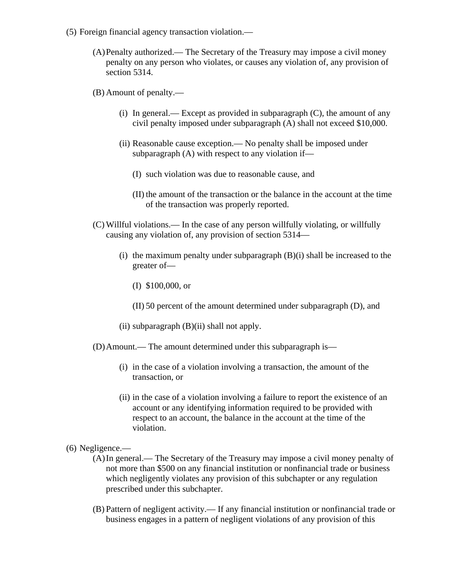- (5) Foreign financial agency transaction violation.—
	- (A)Penalty authorized.— The Secretary of the Treasury may impose a civil money penalty on any person who violates, or causes any violation of, any provision of section 5314.
	- (B) Amount of penalty.—
		- (i) In general.— Except as provided in subparagraph (C), the amount of any civil penalty imposed under subparagraph (A) shall not exceed \$10,000.
		- (ii) Reasonable cause exception.— No penalty shall be imposed under subparagraph (A) with respect to any violation if—
			- (I) such violation was due to reasonable cause, and
			- (II) the amount of the transaction or the balance in the account at the time of the transaction was properly reported.
	- (C) Willful violations.— In the case of any person willfully violating, or willfully causing any violation of, any provision of section 5314—
		- (i) the maximum penalty under subparagraph  $(B)(i)$  shall be increased to the greater of—
			- (I) \$100,000, or
			- (II) 50 percent of the amount determined under subparagraph (D), and
		- (ii) subparagraph  $(B)(ii)$  shall not apply.
	- (D)Amount.— The amount determined under this subparagraph is—
		- (i) in the case of a violation involving a transaction, the amount of the transaction, or
		- (ii) in the case of a violation involving a failure to report the existence of an account or any identifying information required to be provided with respect to an account, the balance in the account at the time of the violation.
- (6) Negligence.—
	- (A)In general.— The Secretary of the Treasury may impose a civil money penalty of not more than \$500 on any financial institution or nonfinancial trade or business which negligently violates any provision of this subchapter or any regulation prescribed under this subchapter.
	- (B) Pattern of negligent activity.— If any financial institution or nonfinancial trade or business engages in a pattern of negligent violations of any provision of this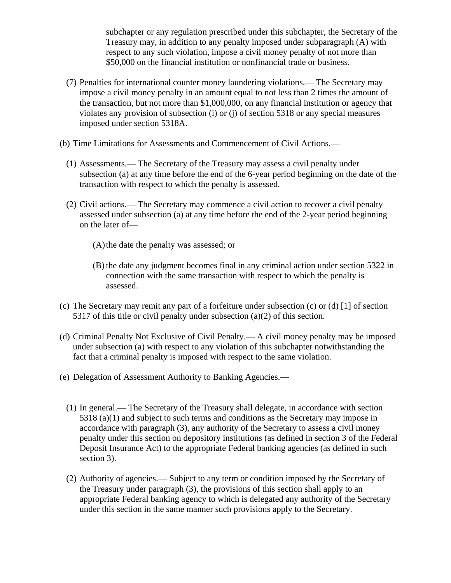subchapter or any regulation prescribed under this subchapter, the Secretary of the Treasury may, in addition to any penalty imposed under subparagraph (A) with respect to any such violation, impose a civil money penalty of not more than \$50,000 on the financial institution or nonfinancial trade or business.

- (7) Penalties for international counter money laundering violations.— The Secretary may impose a civil money penalty in an amount equal to not less than 2 times the amount of the transaction, but not more than \$1,000,000, on any financial institution or agency that violates any provision of subsection (i) or (j) of section 5318 or any special measures imposed under section 5318A.
- (b) Time Limitations for Assessments and Commencement of Civil Actions.—
	- (1) Assessments.— The Secretary of the Treasury may assess a civil penalty under subsection (a) at any time before the end of the 6-year period beginning on the date of the transaction with respect to which the penalty is assessed.
	- (2) Civil actions.— The Secretary may commence a civil action to recover a civil penalty assessed under subsection (a) at any time before the end of the 2-year period beginning on the later of—
		- (A)the date the penalty was assessed; or
		- (B) the date any judgment becomes final in any criminal action under section 5322 in connection with the same transaction with respect to which the penalty is assessed.
- (c) The Secretary may remit any part of a forfeiture under subsection (c) or (d) [1] of section 5317 of this title or civil penalty under subsection (a)(2) of this section.
- (d) Criminal Penalty Not Exclusive of Civil Penalty.— A civil money penalty may be imposed under subsection (a) with respect to any violation of this subchapter notwithstanding the fact that a criminal penalty is imposed with respect to the same violation.
- (e) Delegation of Assessment Authority to Banking Agencies.—
	- (1) In general.— The Secretary of the Treasury shall delegate, in accordance with section 5318 (a)(1) and subject to such terms and conditions as the Secretary may impose in accordance with paragraph (3), any authority of the Secretary to assess a civil money penalty under this section on depository institutions (as defined in section 3 of the Federal Deposit Insurance Act) to the appropriate Federal banking agencies (as defined in such section 3).
	- (2) Authority of agencies.— Subject to any term or condition imposed by the Secretary of the Treasury under paragraph (3), the provisions of this section shall apply to an appropriate Federal banking agency to which is delegated any authority of the Secretary under this section in the same manner such provisions apply to the Secretary.